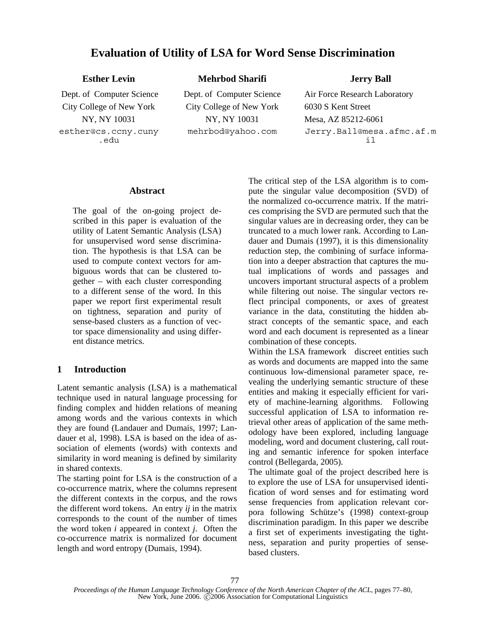# **Evaluation of Utility of LSA for Word Sense Discrimination**

City College of New York City College of New York 6030 S Kent Street esther@cs.ccny.cuny .edu

**Esther Levin Mehrbod Sharifi Jerry Ball**

Dept. of Computer Science Dept. of Computer Science Air Force Research Laboratory NY, NY 10031 NY, NY 10031 Mesa, AZ 85212-6061

mehrbod@yahoo.com Jerry.Ball@mesa.afmc.af.m il

#### **Abstract**

The goal of the on-going project described in this paper is evaluation of the utility of Latent Semantic Analysis (LSA) for unsupervised word sense discrimination. The hypothesis is that LSA can be used to compute context vectors for ambiguous words that can be clustered together – with each cluster corresponding to a different sense of the word. In this paper we report first experimental result on tightness, separation and purity of sense-based clusters as a function of vector space dimensionality and using different distance metrics.

# **1 Introduction**

Latent semantic analysis (LSA) is a mathematical technique used in natural language processing for finding complex and hidden relations of meaning among words and the various contexts in which they are found (Landauer and Dumais, 1997; Landauer et al, 1998). LSA is based on the idea of association of elements (words) with contexts and similarity in word meaning is defined by similarity in shared contexts.

The starting point for LSA is the construction of a co-occurrence matrix, where the columns represent the different contexts in the corpus, and the rows the different word tokens. An entry *ij* in the matrix corresponds to the count of the number of times the word token *i* appeared in context *j*. Often the co-occurrence matrix is normalized for document length and word entropy (Dumais, 1994).

The critical step of the LSA algorithm is to compute the singular value decomposition (SVD) of the normalized co-occurrence matrix. If the matrices comprising the SVD are permuted such that the singular values are in decreasing order, they can be truncated to a much lower rank. According to Landauer and Dumais (1997), it is this dimensionality reduction step, the combining of surface information into a deeper abstraction that captures the mutual implications of words and passages and uncovers important structural aspects of a problem while filtering out noise. The singular vectors reflect principal components, or axes of greatest variance in the data, constituting the hidden abstract concepts of the semantic space, and each word and each document is represented as a linear combination of these concepts.

Within the LSA framework discreet entities such as words and documents are mapped into the same continuous low-dimensional parameter space, revealing the underlying semantic structure of these entities and making it especially efficient for variety of machine-learning algorithms. Following successful application of LSA to information retrieval other areas of application of the same methodology have been explored, including language modeling, word and document clustering, call routing and semantic inference for spoken interface control (Bellegarda, 2005).

The ultimate goal of the project described here is to explore the use of LSA for unsupervised identification of word senses and for estimating word sense frequencies from application relevant corpora following Schütze's (1998) context-group discrimination paradigm. In this paper we describe a first set of experiments investigating the tightness, separation and purity properties of sensebased clusters.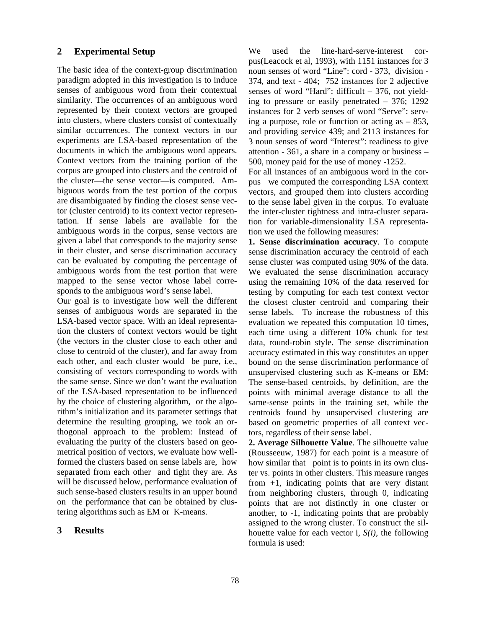#### **2 Experimental Setup**

The basic idea of the context-group discrimination paradigm adopted in this investigation is to induce senses of ambiguous word from their contextual similarity. The occurrences of an ambiguous word represented by their context vectors are grouped into clusters, where clusters consist of contextually similar occurrences. The context vectors in our experiments are LSA-based representation of the documents in which the ambiguous word appears. Context vectors from the training portion of the corpus are grouped into clusters and the centroid of the cluster—the sense vector—is computed. Ambiguous words from the test portion of the corpus are disambiguated by finding the closest sense vector (cluster centroid) to its context vector representation. If sense labels are available for the ambiguous words in the corpus, sense vectors are given a label that corresponds to the majority sense in their cluster, and sense discrimination accuracy can be evaluated by computing the percentage of ambiguous words from the test portion that were mapped to the sense vector whose label corresponds to the ambiguous word's sense label.

Our goal is to investigate how well the different senses of ambiguous words are separated in the LSA-based vector space. With an ideal representation the clusters of context vectors would be tight (the vectors in the cluster close to each other and close to centroid of the cluster), and far away from each other, and each cluster would be pure, i.e., consisting of vectors corresponding to words with the same sense. Since we don't want the evaluation of the LSA-based representation to be influenced by the choice of clustering algorithm, or the algorithm's initialization and its parameter settings that determine the resulting grouping, we took an orthogonal approach to the problem: Instead of evaluating the purity of the clusters based on geometrical position of vectors, we evaluate how wellformed the clusters based on sense labels are, how separated from each other and tight they are. As will be discussed below, performance evaluation of such sense-based clusters results in an upper bound on the performance that can be obtained by clustering algorithms such as EM or K-means.

# **3 Results**

We used the line-hard-serve-interest corpus(Leacock et al, 1993), with 1151 instances for 3 noun senses of word "Line": cord - 373, division - 374, and text - 404; 752 instances for 2 adjective senses of word "Hard": difficult – 376, not yielding to pressure or easily penetrated – 376; 1292 instances for 2 verb senses of word "Serve": serving a purpose, role or function or acting as – 853, and providing service 439; and 2113 instances for 3 noun senses of word "Interest": readiness to give attention - 361, a share in a company or business – 500, money paid for the use of money -1252.

For all instances of an ambiguous word in the corpus we computed the corresponding LSA context vectors, and grouped them into clusters according to the sense label given in the corpus. To evaluate the inter-cluster tightness and intra-cluster separation for variable-dimensionality LSA representation we used the following measures:

**1. Sense discrimination accuracy**. To compute sense discrimination accuracy the centroid of each sense cluster was computed using 90% of the data. We evaluated the sense discrimination accuracy using the remaining 10% of the data reserved for testing by computing for each test context vector the closest cluster centroid and comparing their sense labels. To increase the robustness of this evaluation we repeated this computation 10 times, each time using a different 10% chunk for test data, round-robin style. The sense discrimination accuracy estimated in this way constitutes an upper bound on the sense discrimination performance of unsupervised clustering such as K-means or EM: The sense-based centroids, by definition, are the points with minimal average distance to all the same-sense points in the training set, while the centroids found by unsupervised clustering are based on geometric properties of all context vectors, regardless of their sense label.

**2. Average Silhouette Value**. The silhouette value (Rousseeuw, 1987) for each point is a measure of how similar that point is to points in its own cluster vs. points in other clusters. This measure ranges from  $+1$ , indicating points that are very distant from neighboring clusters, through 0, indicating points that are not distinctly in one cluster or another, to -1, indicating points that are probably assigned to the wrong cluster. To construct the silhouette value for each vector i*, S(i),* the following formula is used: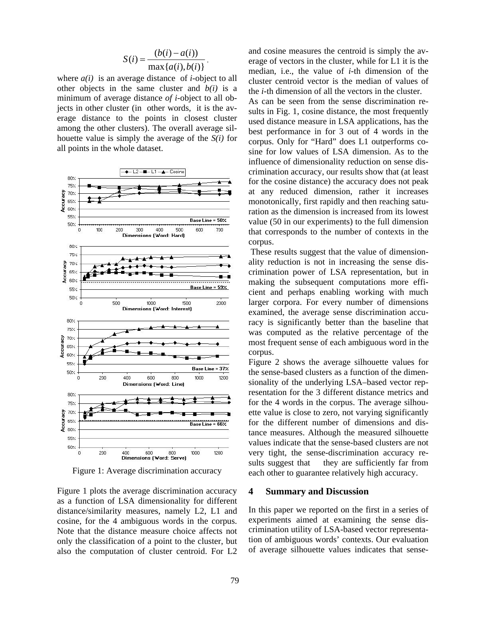$$
S(i) = \frac{(b(i) - a(i))}{\max\{a(i), b(i)\}},
$$

where *a(i)* is an average distance of *i*-object to all other objects in the same cluster and *b(i)* is a minimum of average distance *of i-*object to all objects in other cluster (in other words, it is the average distance to the points in closest cluster among the other clusters). The overall average silhouette value is simply the average of the *S(i)* for all points in the whole dataset.



Figure 1: Average discrimination accuracy

Figure 1 plots the average discrimination accuracy as a function of LSA dimensionality for different distance/similarity measures, namely L2, L1 and cosine, for the 4 ambiguous words in the corpus. Note that the distance measure choice affects not only the classification of a point to the cluster, but also the computation of cluster centroid. For L2

and cosine measures the centroid is simply the average of vectors in the cluster, while for L1 it is the median, i.e., the value of *i-*th dimension of the cluster centroid vector is the median of values of the *i-*th dimension of all the vectors in the cluster.

As can be seen from the sense discrimination results in Fig. 1, cosine distance, the most frequently used distance measure in LSA applications, has the best performance in for 3 out of 4 words in the corpus. Only for "Hard" does L1 outperforms cosine for low values of LSA dimension. As to the influence of dimensionality reduction on sense discrimination accuracy, our results show that (at least for the cosine distance) the accuracy does not peak at any reduced dimension, rather it increases monotonically, first rapidly and then reaching saturation as the dimension is increased from its lowest value (50 in our experiments) to the full dimension that corresponds to the number of contexts in the corpus.

 These results suggest that the value of dimensionality reduction is not in increasing the sense discrimination power of LSA representation, but in making the subsequent computations more efficient and perhaps enabling working with much larger corpora. For every number of dimensions examined, the average sense discrimination accuracy is significantly better than the baseline that was computed as the relative percentage of the most frequent sense of each ambiguous word in the corpus.

Figure 2 shows the average silhouette values for the sense-based clusters as a function of the dimensionality of the underlying LSA–based vector representation for the 3 different distance metrics and for the 4 words in the corpus. The average silhouette value is close to zero, not varying significantly for the different number of dimensions and distance measures. Although the measured silhouette values indicate that the sense-based clusters are not very tight, the sense-discrimination accuracy results suggest that they are sufficiently far from each other to guarantee relatively high accuracy.

#### **4 Summary and Discussion**

In this paper we reported on the first in a series of experiments aimed at examining the sense discrimination utility of LSA-based vector representation of ambiguous words' contexts. Our evaluation of average silhouette values indicates that sense